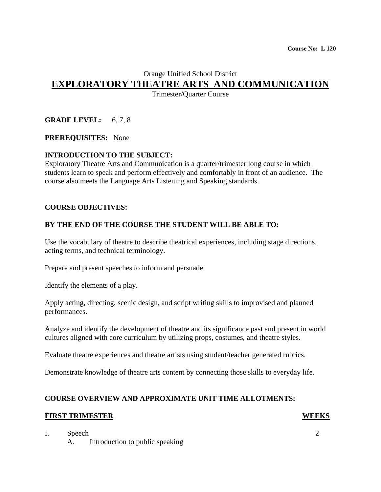# Orange Unified School District

# **EXPLORATORY THEATRE ARTS AND COMMUNICATION**

Trimester/Quarter Course

# **GRADE LEVEL:** 6, 7, 8

#### **PREREQUISITES:** None

**INTRODUCTION TO THE SUBJECT:**<br>Exploratory Theatre Arts and Communication is a quarter/trimester long course in which students learn to speak and perform effectively and comfortably in front of an audience. The course also meets the Language Arts Listening and Speaking standards.

#### **COURSE OBJECTIVES:**

#### **BY THE END OF THE COURSE THE STUDENT WILL BE ABLE TO:**

Use the vocabulary of theatre to describe theatrical experiences, including stage directions, acting terms, and technical terminology.

Prepare and present speeches to inform and persuade.

Identify the elements of a play.

Apply acting, directing, scenic design, and script writing skills to improvised and planned performances.

Analyze and identify the development of theatre and its significance past and present in world cultures aligned with core curriculum by utilizing props, costumes, and theatre styles.

Evaluate theatre experiences and theatre artists using student/teacher generated rubrics.

Demonstrate knowledge of theatre arts content by connecting those skills to everyday life.

#### **COURSE OVERVIEW AND APPROXIMATE UNIT TIME ALLOTMENTS:**

#### **FIRST TRIMESTER WEEKS**

I. Speech 2

A. Introduction to public speaking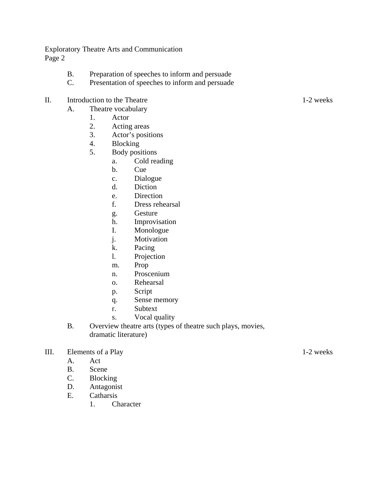- B. Preparation of speeches to inform and persuade
- C. Presentation of speeches to inform and persuade
- II. Introduction to the Theatre 1-2 weeks
	- A. Theatre vocabulary
		- 1. Actor
		- 2. Acting areas
		- 3. Actor's positions
		- 4. Blocking
		- 5. Body positions
			- a. Cold reading
			- b. Cue
			- c. Dialogue
			- d. Diction
			- e. Direction
			- f. Dress rehearsal
			- g. Gesture
			- h. Improvisation
			- I. Monologue
			- j. Motivation
			- k. Pacing
			- l. Projection
			- m. Prop
			- n. Proscenium
			- o. Rehearsal
			- p. Script
			- q. Sense memory
			- r. Subtext
			- s. Vocal quality
	- B. Overview theatre arts (types of theatre such plays, movies, dramatic literature)

### III. Elements of a Play 1-2 weeks

- A. Act
- B. Scene
- C. Blocking
- D. Antagonist
- E. Catharsis
	- 1. Character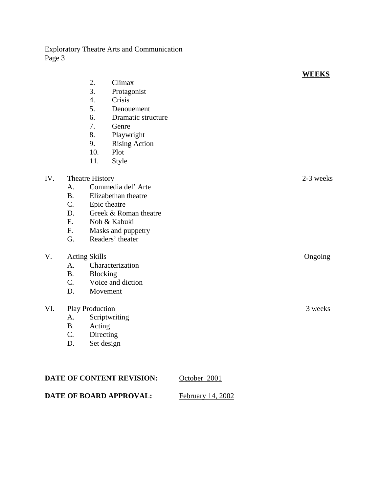|     |                        |                       |                      | <b>WEEKS</b> |
|-----|------------------------|-----------------------|----------------------|--------------|
|     |                        | 2.                    | Climax               |              |
|     |                        | 3.                    | Protagonist          |              |
|     |                        | $\overline{4}$ .      | Crisis               |              |
|     |                        | 5.                    | Denouement           |              |
|     |                        | 6.                    | Dramatic structure   |              |
|     |                        | 7.                    | Genre                |              |
|     |                        | 8.                    | Playwright           |              |
|     |                        | 9.                    | <b>Rising Action</b> |              |
|     |                        | 10.                   | Plot                 |              |
|     |                        | 11.                   | Style                |              |
| IV. | Theatre History        |                       |                      | 2-3 weeks    |
|     | A.                     | Commedia del'Arte     |                      |              |
|     | <b>B.</b>              | Elizabethan theatre   |                      |              |
|     | C.                     | Epic theatre          |                      |              |
|     | D.                     | Greek & Roman theatre |                      |              |
|     | E.                     |                       | Noh & Kabuki         |              |
|     | F.                     |                       | Masks and puppetry   |              |
|     | G.                     | Readers' theater      |                      |              |
| V.  | <b>Acting Skills</b>   |                       |                      | Ongoing      |
|     | A.                     | Characterization      |                      |              |
|     | <b>B.</b>              | <b>Blocking</b>       |                      |              |
|     | C.                     |                       | Voice and diction    |              |
|     | D.                     |                       | Movement             |              |
| VI. | <b>Play Production</b> |                       |                      | 3 weeks      |
|     | A.                     | Scriptwriting         |                      |              |
|     | <b>B.</b>              | Acting                |                      |              |
|     | C.                     | Directing             |                      |              |
|     | D.                     | Set design            |                      |              |
|     |                        |                       |                      |              |
|     |                        |                       |                      |              |
|     |                        |                       |                      |              |

| <b>DATE OF CONTENT REVISION:</b> | October 2001      |
|----------------------------------|-------------------|
| DATE OF BOARD APPROVAL:          | February 14, 2002 |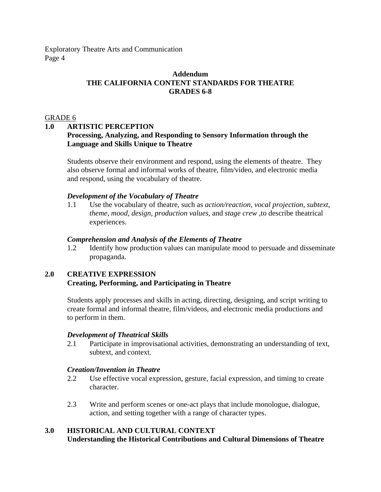#### **Addendum THE CALIFORNIA CONTENT STANDARDS FOR THEATRE GRADES 6-8**

#### GRADE 6

#### **1.0 ARTISTIC PERCEPTION**

## **Processing, Analyzing, and Responding to Sensory Information through the Language and Skills Unique to Theatre**

Students observe their environment and respond, using the elements of theatre. They also observe formal and informal works of theatre, film/video, and electronic media and respond, using the vocabulary of theatre.

#### *Development of the Vocabulary of Theatre*

1.1 Use the vocabulary of theatre, such as *action/reaction, vocal projection, subtext, theme, mood, design, production values,* and *stage crew* ,to describe theatrical experiences.

#### *Comprehension and Analysis of the Elements of Theatre*

1.2 Identify how production values can manipulate mood to persuade and disseminate propaganda.

# **2.0 CREATIVE EXPRESSION Creating, Performing, and Participating in Theatre**

Students apply processes and skills in acting, directing, designing, and script writing to create formal and informal theatre, film/videos, and electronic media productions and to perform in them.

#### *Development of Theatrical Skills*

2.1 Participate in improvisational activities, demonstrating an understanding of text, subtext, and context.

#### *Creation/Invention in Theatre*

- 2.2 Use effective vocal expression, gesture, facial expression, and timing to create character.
- 2.3 Write and perform scenes or one-act plays that include monologue, dialogue, action, and setting together with a range of character types.

# **3.0 HISTORICAL AND CULTURAL CONTEXT**

**Understanding the Historical Contributions and Cultural Dimensions of Theatre**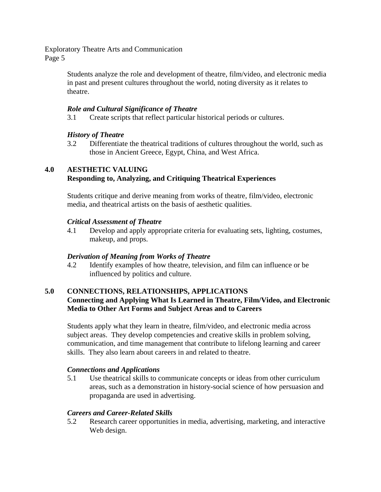> Students analyze the role and development of theatre, film/video, and electronic media in past and present cultures throughout the world, noting diversity as it relates to theatre.

#### *Role and Cultural Significance of Theatre*

3.1 Create scripts that reflect particular historical periods or cultures.

# *History of Theatre*

3.2 Differentiate the theatrical traditions of cultures throughout the world, such as those in Ancient Greece, Egypt, China, and West Africa.

# **4.0 AESTHETIC VALUING Responding to, Analyzing, and Critiquing Theatrical Experiences**

Students critique and derive meaning from works of theatre, film/video, electronic media, and theatrical artists on the basis of aesthetic qualities.

# *Critical Assessment of Theatre*

4.1 Develop and apply appropriate criteria for evaluating sets, lighting, costumes, makeup, and props.

#### *Derivation of Meaning from Works of Theatre*

4.2 Identify examples of how theatre, television, and film can influence or be influenced by politics and culture.

## **5.0 CONNECTIONS, RELATIONSHIPS, APPLICATIONS Connecting and Applying What Is Learned in Theatre, Film/Video, and Electronic Media to Other Art Forms and Subject Areas and to Careers**

Students apply what they learn in theatre, film/video, and electronic media across subject areas. They develop competencies and creative skills in problem solving, communication, and time management that contribute to lifelong learning and career skills. They also learn about careers in and related to theatre.

#### *Connections and Applications*

5.1 Use theatrical skills to communicate concepts or ideas from other curriculum areas, such as a demonstration in history-social science of how persuasion and propaganda are used in advertising.

#### *Careers and Career-Related Skills*

5.2 Research career opportunities in media, advertising, marketing, and interactive Web design.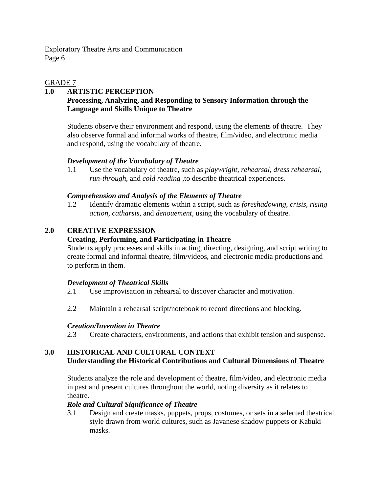## GRADE 7

#### **1.0 ARTISTIC PERCEPTION Processing, Analyzing, and Responding to Sensory Information through the Language and Skills Unique to Theatre**

Students observe their environment and respond, using the elements of theatre. They also observe formal and informal works of theatre, film/video, and electronic media and respond, using the vocabulary of theatre.

# *Development of the Vocabulary of Theatre*

1.1 Use the vocabulary of theatre, such as *playwright, rehearsal, dress rehearsal, run-through,* and *cold reading* ,to describe theatrical experiences.

#### *Comprehension and Analysis of the Elements of Theatre*

1.2 Identify dramatic elements within a script, such as *foreshadowing, crisis, rising action, catharsis,* and *denouement,* using the vocabulary of theatre.

# **2.0 CREATIVE EXPRESSION**

# **Creating, Performing, and Participating in Theatre**

Students apply processes and skills in acting, directing, designing, and script writing to create formal and informal theatre, film/videos, and electronic media productions and to perform in them.

#### *Development of Theatrical Skills*

- 2.1 Use improvisation in rehearsal to discover character and motivation.
- 2.2 Maintain a rehearsal script/notebook to record directions and blocking.

# *Creation/Invention in Theatre*

2.3 Create characters, environments, and actions that exhibit tension and suspense.

# **3.0 HISTORICAL AND CULTURAL CONTEXT Understanding the Historical Contributions and Cultural Dimensions of Theatre**

Students analyze the role and development of theatre, film/video, and electronic media in past and present cultures throughout the world, noting diversity as it relates to theatre.

#### *Role and Cultural Significance of Theatre*

3.1 Design and create masks, puppets, props, costumes, or sets in a selected theatrical style drawn from world cultures, such as Javanese shadow puppets or Kabuki masks.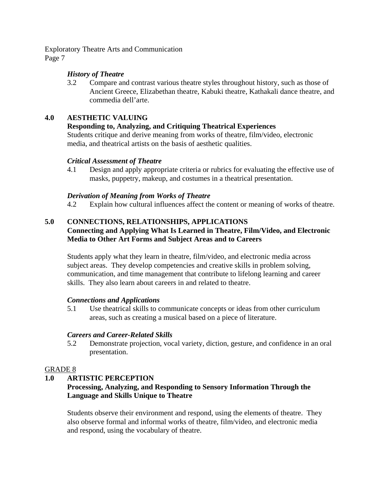# *History of Theatre*

3.2 Compare and contrast various theatre styles throughout history, such as those of Ancient Greece, Elizabethan theatre, Kabuki theatre, Kathakali dance theatre, and commedia dell'arte.

## **4.0 AESTHETIC VALUING**

# **Responding to, Analyzing, and Critiquing Theatrical Experiences**

Students critique and derive meaning from works of theatre, film/video, electronic media, and theatrical artists on the basis of aesthetic qualities.

#### *Critical Assessment of Theatre*

4.1 Design and apply appropriate criteria or rubrics for evaluating the effective use of masks, puppetry, makeup, and costumes in a theatrical presentation.

#### *Derivation of Meaning from Works of Theatre*

4.2 Explain how cultural influences affect the content or meaning of works of theatre.

# **5.0 CONNECTIONS, RELATIONSHIPS, APPLICATIONS Connecting and Applying What Is Learned in Theatre, Film/Video, and Electronic Media to Other Art Forms and Subject Areas and to Careers**

Students apply what they learn in theatre, film/video, and electronic media across subject areas. They develop competencies and creative skills in problem solving, communication, and time management that contribute to lifelong learning and career skills. They also learn about careers in and related to theatre.

#### *Connections and Applications*

5.1 Use theatrical skills to communicate concepts or ideas from other curriculum areas, such as creating a musical based on a piece of literature.

#### *Careers and Career-Related Skills*

5.2 Demonstrate projection, vocal variety, diction, gesture, and confidence in an oral presentation.

#### GRADE 8

#### **1.0 ARTISTIC PERCEPTION**

# **Processing, Analyzing, and Responding to Sensory Information Through the Language and Skills Unique to Theatre**

Students observe their environment and respond, using the elements of theatre. They also observe formal and informal works of theatre, film/video, and electronic media and respond, using the vocabulary of theatre.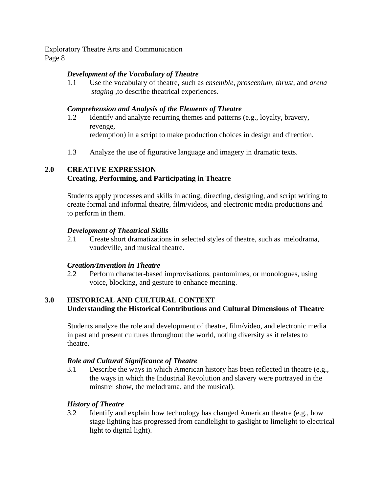# *Development of the Vocabulary of Theatre*

1.1 Use the vocabulary of theatre, such as *ensemble, proscenium, thrust,* and *arena staging* ,to describe theatrical experiences.

## *Comprehension and Analysis of the Elements of Theatre*

- 1.2 Identify and analyze recurring themes and patterns (e.g., loyalty, bravery, revenge, redemption) in a script to make production choices in design and direction.
- 1.3 Analyze the use of figurative language and imagery in dramatic texts.

# **2.0 CREATIVE EXPRESSION Creating, Performing, and Participating in Theatre**

Students apply processes and skills in acting, directing, designing, and script writing to create formal and informal theatre, film/videos, and electronic media productions and to perform in them.

# *Development of Theatrical Skills*

2.1 Create short dramatizations in selected styles of theatre, such as melodrama, vaudeville, and musical theatre.

#### *Creation/Invention in Theatre*

2.2 Perform character-based improvisations, pantomimes, or monologues, using voice, blocking, and gesture to enhance meaning.

#### **3.0 HISTORICAL AND CULTURAL CONTEXT Understanding the Historical Contributions and Cultural Dimensions of Theatre**

Students analyze the role and development of theatre, film/video, and electronic media in past and present cultures throughout the world, noting diversity as it relates to theatre.

#### *Role and Cultural Significance of Theatre*

3.1 Describe the ways in which American history has been reflected in theatre (e.g., the ways in which the Industrial Revolution and slavery were portrayed in the minstrel show, the melodrama, and the musical).

# *History of Theatre*

3.2 Identify and explain how technology has changed American theatre (e.g., how stage lighting has progressed from candlelight to gaslight to limelight to electrical light to digital light).